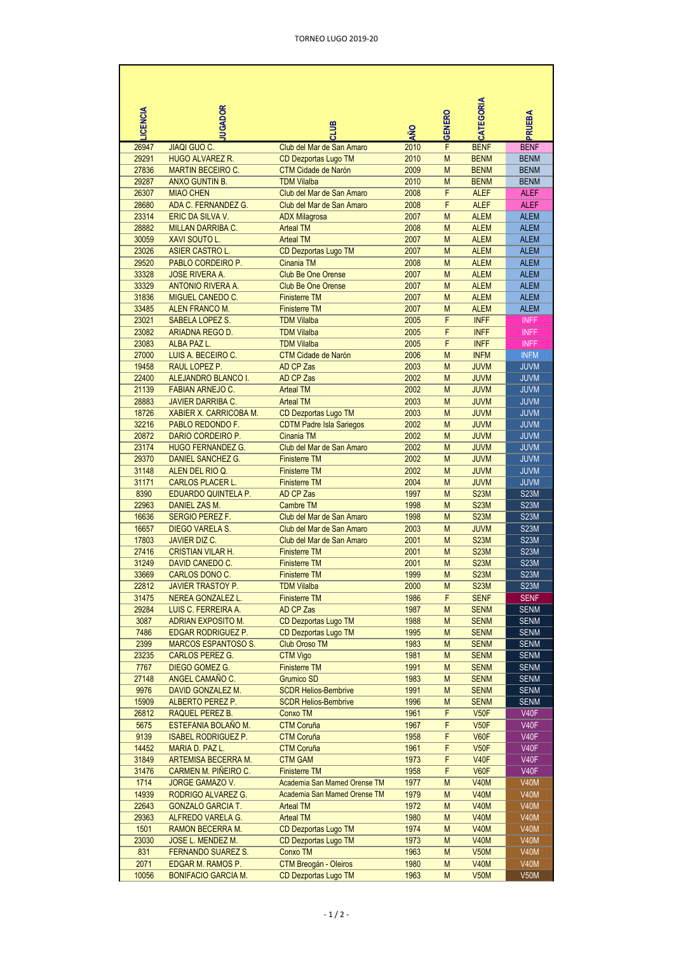| <b>LCENCIA</b> | <b>UGADOR</b>                                        | <b>SITIC</b>                                      | <b>AÑO</b>   | GENERO         | CATEGORIA                  | <b>RUEBA</b>               |
|----------------|------------------------------------------------------|---------------------------------------------------|--------------|----------------|----------------------------|----------------------------|
| 26947          | <b>JIAQI GUO C.</b>                                  | Club del Mar de San Amaro                         | 2010         | F              | <b>BENF</b>                | <b>BENF</b>                |
| 29291          | <b>HUGO ALVAREZ R.</b>                               | CD Dezportas Lugo TM                              | 2010         | M              | <b>BENM</b>                | <b>BENM</b>                |
| 27836          | <b>MARTIN BECEIRO C.</b>                             | <b>CTM Cidade de Narón</b>                        | 2009         | M              | <b>BENM</b>                | <b>BENM</b>                |
| 29287          | <b>ANXO GUNTIN B.</b>                                | <b>TDM Vilalba</b>                                | 2010         | M              | <b>BENM</b>                | <b>BENM</b>                |
| 26307          | <b>MIAO CHEN</b>                                     | Club del Mar de San Amaro                         | 2008         | F              | <b>ALEF</b>                | <b>ALEF</b>                |
| 28680          | ADA C. FERNANDEZ G.                                  | Club del Mar de San Amaro                         | 2008         | F              | <b>ALEF</b>                | <b>ALEF</b>                |
| 23314          | ERIC DA SILVA V.                                     | <b>ADX Milagrosa</b>                              | 2007         | M              | <b>ALEM</b>                | <b>ALEM</b>                |
| 28882          | <b>MILLAN DARRIBA C.</b>                             | <b>Arteal TM</b>                                  | 2008         | M              | <b>ALEM</b>                | <b>ALEM</b>                |
| 30059          | <b>XAVI SOUTO L.</b>                                 | <b>Arteal TM</b>                                  | 2007         | M              | <b>ALEM</b>                | <b>ALEM</b>                |
| 23026          | <b>ASIER CASTRO L.</b>                               | CD Dezportas Lugo TM                              | 2007         | M              | <b>ALEM</b>                | <b>ALEM</b>                |
| 29520<br>33328 | PABLO CORDEIRO P.<br><b>JOSE RIVERA A.</b>           | Cinania TM<br><b>Club Be One Orense</b>           | 2008<br>2007 | M<br>M         | <b>ALEM</b><br><b>ALEM</b> | <b>ALEM</b><br><b>ALEM</b> |
| 33329          | <b>ANTONIO RIVERA A.</b>                             | <b>Club Be One Orense</b>                         | 2007         | M              | <b>ALEM</b>                | <b>ALEM</b>                |
| 31836          | <b>MIGUEL CANEDO C.</b>                              | <b>Finisterre TM</b>                              | 2007         | M              | <b>ALEM</b>                | <b>ALEM</b>                |
| 33485          | <b>ALEN FRANCO M.</b>                                | <b>Finisterre TM</b>                              | 2007         | M              | <b>ALEM</b>                | <b>ALEM</b>                |
| 23021          | <b>SABELA LOPEZ S.</b>                               | <b>TDM Vilalba</b>                                | 2005         | F              | <b>INFF</b>                | <b>INFF</b>                |
| 23082          | ARIADNA REGO D.                                      | <b>TDM Vilalba</b>                                | 2005         | F              | <b>INFF</b>                | <b>INFF</b>                |
| 23083          | ALBA PAZ L.                                          | <b>TDM Vilalba</b>                                | 2005         | $\overline{F}$ | <b>INFF</b>                | <b>INFF</b>                |
| 27000          | LUIS A. BECEIRO C.                                   | <b>CTM Cidade de Narón</b>                        | 2006         | M              | <b>INFM</b>                | <b>INFM</b>                |
| 19458          | RAUL LOPEZ P.                                        | AD CP Zas                                         | 2003         | M              | <b>JUVM</b>                | <b>JUVM</b>                |
| 22400          | ALEJANDRO BLANCO I.                                  | AD CP Zas                                         | 2002         | M              | <b>JUVM</b>                | <b>JUVM</b>                |
| 21139          | <b>FABIAN ARNEJO C.</b>                              | <b>Arteal TM</b>                                  | 2002         | M              | <b>JUVM</b>                | <b>JUVM</b>                |
| 28883          | <b>JAVIER DARRIBA C.</b>                             | <b>Arteal TM</b>                                  | 2003         | M              | <b>JUVM</b>                | <b>JUVM</b>                |
| 18726          | <b>XABIER X. CARRICOBA M.</b>                        | CD Dezportas Lugo TM                              | 2003         | M              | <b>JUVM</b>                | <b>JUVM</b>                |
| 32216          | PABLO REDONDO F.                                     | <b>CDTM Padre Isla Sariegos</b>                   | 2002         | M              | <b>JUVM</b>                | <b>JUVM</b>                |
| 20872          | DARIO CORDEIRO P.                                    | Cinania TM                                        | 2002         | M              | <b>JUVM</b>                | <b>JUVM</b>                |
| 23174          | <b>HUGO FERNANDEZ G.</b>                             | Club del Mar de San Amaro                         | 2002         | M              | <b>JUVM</b>                | <b>JUVM</b>                |
| 29370          | <b>DANIEL SANCHEZ G.</b>                             | <b>Finisterre TM</b>                              | 2002         | M              | <b>JUVM</b>                | <b>JUVM</b>                |
| 31148          | ALEN DEL RIO Q.                                      | <b>Finisterre TM</b>                              | 2002         | M              | <b>JUVM</b>                | <b>JUVM</b>                |
| 31171          | <b>CARLOS PLACER L.</b>                              | <b>Finisterre TM</b>                              | 2004         | M              | <b>JUVM</b>                | <b>JUVM</b>                |
| 8390           | EDUARDO QUINTELA P.                                  | AD CP Zas                                         | 1997         | M              | <b>S23M</b>                | <b>S23M</b>                |
| 22963          | DANIEL ZAS M.                                        | <b>Cambre TM</b>                                  | 1998         | M              | <b>S23M</b>                | <b>S23M</b>                |
| 16636          | <b>SERGIO PEREZ F.</b>                               | Club del Mar de San Amaro                         | 1998         | M              | <b>S23M</b>                | <b>S23M</b>                |
| 16657          | <b>DIEGO VARELA S.</b>                               | Club del Mar de San Amaro                         | 2003         | M              | <b>JUVM</b>                | <b>S23M</b>                |
| 17803<br>27416 | <b>JAVIER DIZ C.</b><br><b>CRISTIAN VILAR H.</b>     | Club del Mar de San Amaro<br><b>Finisterre TM</b> | 2001<br>2001 | M<br>M         | <b>S23M</b>                | <b>S23M</b><br><b>S23M</b> |
| 31249          | DAVID CANEDO C.                                      | <b>Finisterre TM</b>                              | 2001         | M              | <b>S23M</b><br><b>S23M</b> | <b>S23M</b>                |
| 33669          | CARLOS DONO C.                                       | <b>Finisterre TM</b>                              | 1999         | M              | <b>S23M</b>                | S23M                       |
| 22812          | <b>JAVIER TRASTOY P.</b>                             | <b>TDM Vilalba</b>                                | 2000         | M              | <b>S23M</b>                | S <sub>23</sub> M          |
| 31475          | <b>NEREA GONZALEZ L.</b>                             | <b>Finisterre TM</b>                              | 1986         | F              | <b>SENF</b>                | <b>SENF</b>                |
| 29284          | LUIS C. FERREIRA A.                                  | AD CP Zas                                         | 1987         | M              | <b>SENM</b>                | <b>SENM</b>                |
| 3087           | <b>ADRIAN EXPOSITO M.</b>                            | CD Dezportas Lugo TM                              | 1988         | M              | <b>SENM</b>                | <b>SENM</b>                |
| 7486           | <b>EDGAR RODRIGUEZ P.</b>                            | CD Dezportas Lugo TM                              | 1995         | M              | <b>SENM</b>                | <b>SENM</b>                |
| 2399           | <b>MARCOS ESPANTOSO S.</b>                           | <b>Club Oroso TM</b>                              | 1983         | M              | <b>SENM</b>                | <b>SENM</b>                |
| 23235          | <b>CARLOS PEREZ G.</b>                               | <b>CTM Vigo</b>                                   | 1981         | M              | <b>SENM</b>                | <b>SENM</b>                |
| 7767           | DIEGO GOMEZ G.                                       | <b>Finisterre TM</b>                              | 1991         | M              | <b>SENM</b>                | <b>SENM</b>                |
| 27148          | ANGEL CAMAÑO C.                                      | <b>Grumico SD</b>                                 | 1983         | M              | <b>SENM</b>                | <b>SENM</b>                |
| 9976           | DAVID GONZALEZ M.                                    | <b>SCDR Helios-Bembrive</b>                       | 1991         | M              | <b>SENM</b>                | <b>SENM</b>                |
| 15909          | ALBERTO PEREZ P.                                     | <b>SCDR Helios-Bembrive</b>                       | 1996         | M              | <b>SENM</b>                | <b>SENM</b>                |
| 26812          | RAQUEL PEREZ B.                                      | Conxo TM                                          | 1961         | F              | <b>V50F</b>                | <b>V40F</b>                |
| 5675           | ESTEFANIA BOLANO M.                                  | <b>CTM Coruña</b>                                 | 1967         | F              | V50F                       | <b>V40F</b>                |
| 9139           | <b>ISABEL RODRIGUEZ P.</b>                           | <b>CTM Coruña</b>                                 | 1958         | F              | V60F                       | <b>V40F</b>                |
| 14452          | MARIA D. PAZ L.                                      | <b>CTM Coruña</b>                                 | 1961         | F              | <b>V50F</b>                | <b>V40F</b>                |
| 31849          | ARTEMISA BECERRA M.                                  | <b>CTM GAM</b>                                    | 1973         | F              | <b>V40F</b>                | <b>V40F</b>                |
| 31476          | CARMEN M. PIÑEIRO C.                                 | <b>Finisterre TM</b>                              | 1958         | F              | V60F                       | <b>V40F</b>                |
| 1714           | <b>JORGE GAMAZO V.</b>                               | Academia San Mamed Orense TM                      | 1977         | M              | <b>V40M</b>                | <b>V40M</b>                |
| 14939<br>22643 | RODRIGO ALVAREZ G.                                   | Academia San Mamed Orense TM                      | 1979<br>1972 | M<br>M         | <b>V40M</b><br><b>V40M</b> | <b>V40M</b><br><b>V40M</b> |
| 29363          | <b>GONZALO GARCIA T.</b><br><b>ALFREDO VARELA G.</b> | <b>Arteal TM</b><br><b>Arteal TM</b>              | 1980         | M              | <b>V40M</b>                | V40M                       |
| 1501           | RAMON BECERRA M.                                     | CD Dezportas Lugo TM                              | 1974         | M              | <b>V40M</b>                | V40M                       |
| 23030          | JOSE L. MENDEZ M.                                    | CD Dezportas Lugo TM                              | 1973         | M              | <b>V40M</b>                | <b>V40M</b>                |
| 831            | <b>FERNANDO SUAREZ S.</b>                            | Conxo TM                                          | 1963         | M              | <b>V50M</b>                | V40M                       |
| 2071           | EDGAR M. RAMOS P.                                    | CTM Breogán - Oleiros                             | 1980         | M              | <b>V40M</b>                | V40M                       |
| 10056          | <b>BONIFACIO GARCIA M.</b>                           | CD Dezportas Lugo TM                              | 1963         | M              | <b>V50M</b>                | <b>V50M</b>                |